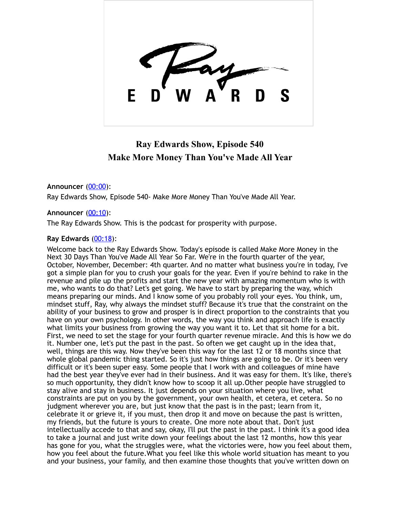

# **Ray Edwards Show, Episode 540 Make More Money Than You've Made All Year**

# **Announcer** [\(00:00](https://www.temi.com/editor/t/h8qrbV3t-5rBXa5GCxNJ3eod8-aoKJpUPkrxoib6zlEGdKKrLXPhlB2cDKkO_GOJ7WGeEzhmGBQ2L86W64eqCbTIq4c?loadFrom=DocumentDeeplink&ts=0.96)):

Ray Edwards Show, Episode 540- Make More Money Than You've Made All Year.

# **Announcer** [\(00:10](https://www.temi.com/editor/t/h8qrbV3t-5rBXa5GCxNJ3eod8-aoKJpUPkrxoib6zlEGdKKrLXPhlB2cDKkO_GOJ7WGeEzhmGBQ2L86W64eqCbTIq4c?loadFrom=DocumentDeeplink&ts=10.02)):

The Ray Edwards Show. This is the podcast for prosperity with purpose.

# **Ray Edwards** [\(00:18](https://www.temi.com/editor/t/h8qrbV3t-5rBXa5GCxNJ3eod8-aoKJpUPkrxoib6zlEGdKKrLXPhlB2cDKkO_GOJ7WGeEzhmGBQ2L86W64eqCbTIq4c?loadFrom=DocumentDeeplink&ts=18.33)):

Welcome back to the Ray Edwards Show. Today's episode is called Make More Money in the Next 30 Days Than You've Made All Year So Far. We're in the fourth quarter of the year, October, November, December: 4th quarter. And no matter what business you're in today, I've got a simple plan for you to crush your goals for the year. Even if you're behind to rake in the revenue and pile up the profits and start the new year with amazing momentum who is with me, who wants to do that? Let's get going. We have to start by preparing the way, which means preparing our minds. And I know some of you probably roll your eyes. You think, um, mindset stuff, Ray, why always the mindset stuff? Because it's true that the constraint on the ability of your business to grow and prosper is in direct proportion to the constraints that you have on your own psychology. In other words, the way you think and approach life is exactly what limits your business from growing the way you want it to. Let that sit home for a bit. First, we need to set the stage for your fourth quarter revenue miracle. And this is how we do it. Number one, let's put the past in the past. So often we get caught up in the idea that, well, things are this way. Now they've been this way for the last 12 or 18 months since that whole global pandemic thing started. So it's just how things are going to be. Or it's been very difficult or it's been super easy. Some people that I work with and colleagues of mine have had the best year they've ever had in their business. And it was easy for them. It's like, there's so much opportunity, they didn't know how to scoop it all up.Other people have struggled to stay alive and stay in business. It just depends on your situation where you live, what constraints are put on you by the government, your own health, et cetera, et cetera. So no judgment wherever you are, but just know that the past is in the past; learn from it, celebrate it or grieve it, if you must, then drop it and move on because the past is written, my friends, but the future is yours to create. One more note about that. Don't just intellectually accede to that and say, okay, I'll put the past in the past. I think it's a good idea to take a journal and just write down your feelings about the last 12 months, how this year has gone for you, what the struggles were, what the victories were, how you feel about them, how you feel about the future.What you feel like this whole world situation has meant to you and your business, your family, and then examine those thoughts that you've written down on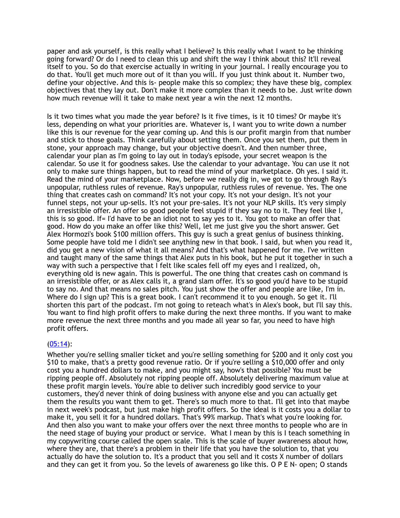paper and ask yourself, is this really what I believe? Is this really what I want to be thinking going forward? Or do I need to clean this up and shift the way I think about this? It'll reveal itself to you. So do that exercise actually in writing in your journal. I really encourage you to do that. You'll get much more out of it than you will. If you just think about it. Number two, define your objective. And this is- people make this so complex; they have these big, complex objectives that they lay out. Don't make it more complex than it needs to be. Just write down how much revenue will it take to make next year a win the next 12 months.

Is it two times what you made the year before? Is it five times, is it 10 times? Or maybe it's less, depending on what your priorities are. Whatever is, I want you to write down a number like this is our revenue for the year coming up. And this is our profit margin from that number and stick to those goals. Think carefully about setting them. Once you set them, put them in stone, your approach may change, but your objective doesn't. And then number three, calendar your plan as I'm going to lay out in today's episode, your secret weapon is the calendar. So use it for goodness sakes. Use the calendar to your advantage. You can use it not only to make sure things happen, but to read the mind of your marketplace. Oh yes. I said it. Read the mind of your marketplace. Now, before we really dig in, we got to go through Ray's unpopular, ruthless rules of revenue. Ray's unpopular, ruthless rules of revenue. Yes. The one thing that creates cash on command? It's not your copy. It's not your design. It's not your funnel steps, not your up-sells. It's not your pre-sales. It's not your NLP skills. It's very simply an irresistible offer. An offer so good people feel stupid if they say no to it. They feel like I, this is so good. If= I'd have to be an idiot not to say yes to it. You got to make an offer that good. How do you make an offer like this? Well, let me just give you the short answer. Get Alex Hormozi's book \$100 million offers. This guy is such a great genius of business thinking. Some people have told me I didn't see anything new in that book. I said, but when you read it, did you get a new vision of what it all means? And that's what happened for me. I've written and taught many of the same things that Alex puts in his book, but he put it together in such a way with such a perspective that I felt like scales fell off my eyes and I realized, oh, everything old is new again. This is powerful. The one thing that creates cash on command is an irresistible offer, or as Alex calls it, a grand slam offer. It's so good you'd have to be stupid to say no. And that means no sales pitch. You just show the offer and people are like, I'm in. Where do I sign up? This is a great book. I can't recommend it to you enough. So get it. I'll shorten this part of the podcast. I'm not going to reteach what's in Alex's book, but I'll say this. You want to find high profit offers to make during the next three months. If you want to make more revenue the next three months and you made all year so far, you need to have high profit offers.

# $(05:14)$  $(05:14)$ :

Whether you're selling smaller ticket and you're selling something for \$200 and it only cost you \$10 to make, that's a pretty good revenue ratio. Or if you're selling a \$10,000 offer and only cost you a hundred dollars to make, and you might say, how's that possible? You must be ripping people off. Absolutely not ripping people off. Absolutely delivering maximum value at these profit margin levels. You're able to deliver such incredibly good service to your customers, they'd never think of doing business with anyone else and you can actually get them the results you want them to get. There's so much more to that. I'll get into that maybe in next week's podcast, but just make high profit offers. So the ideal is it costs you a dollar to make it, you sell it for a hundred dollars. That's 99% markup. That's what you're looking for. And then also you want to make your offers over the next three months to people who are in the need stage of buying your product or service. What I mean by this is I teach something in my copywriting course called the open scale. This is the scale of buyer awareness about how, where they are, that there's a problem in their life that you have the solution to, that you actually do have the solution to. It's a product that you sell and it costs X number of dollars and they can get it from you. So the levels of awareness go like this. O P E N- open; O stands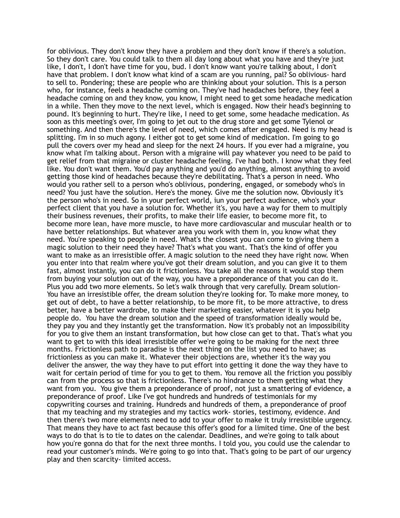for oblivious. They don't know they have a problem and they don't know if there's a solution. So they don't care. You could talk to them all day long about what you have and they're just like, I don't, I don't have time for you, bud. I don't know want you're talking about, I don't have that problem. I don't know what kind of a scam are you running, pal? So oblivious- hard to sell to. Pondering; these are people who are thinking about your solution. This is a person who, for instance, feels a headache coming on. They've had headaches before, they feel a headache coming on and they know, you know, I might need to get some headache medication in a while. Then they move to the next level, which is engaged. Now their head's beginning to pound. It's beginning to hurt. They're like, I need to get some, some headache medication. As soon as this meeting's over, I'm going to jet out to the drug store and get some Tylenol or something. And then there's the level of need, which comes after engaged. Need is my head is splitting. I'm in so much agony. I either got to get some kind of medication. I'm going to go pull the covers over my head and sleep for the next 24 hours. If you ever had a migraine, you know what I'm talking about. Person with a migraine will pay whatever you need to be paid to get relief from that migraine or cluster headache feeling. I've had both. I know what they feel like. You don't want them. You'd pay anything and you'd do anything, almost anything to avoid getting those kind of headaches because they're debilitating. That's a person in need. Who would you rather sell to a person who's oblivious, pondering, engaged, or somebody who's in need? You just have the solution. Here's the money. Give me the solution now. Obviously it's the person who's in need. So in your perfect world, iun your perfect audience, who's your perfect client that you have a solution for. Whether it's, you have a way for them to multiply their business revenues, their profits, to make their life easier, to become more fit, to become more lean, have more muscle, to have more cardiovascular and muscular health or to have better relationships. But whatever area you work with them in, you know what they need. You're speaking to people in need. What's the closest you can come to giving them a magic solution to their need they have? That's what you want. That's the kind of offer you want to make as an irresistible offer. A magic solution to the need they have right now. When you enter into that realm where you've got their dream solution, and you can give it to them fast, almost instantly, you can do it frictionless. You take all the reasons it would stop them from buying your solution out of the way, you have a preponderance of that you can do it. Plus you add two more elements. So let's walk through that very carefully. Dream solution-You have an irresistible offer, the dream solution they're looking for. To make more money, to get out of debt, to have a better relationship, to be more fit, to be more attractive, to dress better, have a better wardrobe, to make their marketing easier, whatever it is you help people do. You have the dream solution and the speed of transformation ideally would be, they pay you and they instantly get the transformation. Now it's probably not an impossibility for you to give them an instant transformation, but how close can get to that. That's what you want to get to with this ideal irresistible offer we're going to be making for the next three months. Frictionless path to paradise is the next thing on the list you need to have; as frictionless as you can make it. Whatever their objections are, whether it's the way you deliver the answer, the way they have to put effort into getting it done the way they have to wait for certain period of time for you to get to them. You remove all the friction you possibly can from the process so that is frictionless. There's no hindrance to them getting what they want from you. You give them a preponderance of proof, not just a smattering of evidence, a preponderance of proof. Like I've got hundreds and hundreds of testimonials for my copywriting courses and training. Hundreds and hundreds of them, a preponderance of proof that my teaching and my strategies and my tactics work- stories, testimony, evidence. And then there's two more elements need to add to your offer to make it truly irresistible urgency. That means they have to act fast because this offer's good for a limited time. One of the best ways to do that is to tie to dates on the calendar. Deadlines, and we're going to talk about how you're gonna do that for the next three months. I told you, you could use the calendar to read your customer's minds. We're going to go into that. That's going to be part of our urgency play and then scarcity- limited access.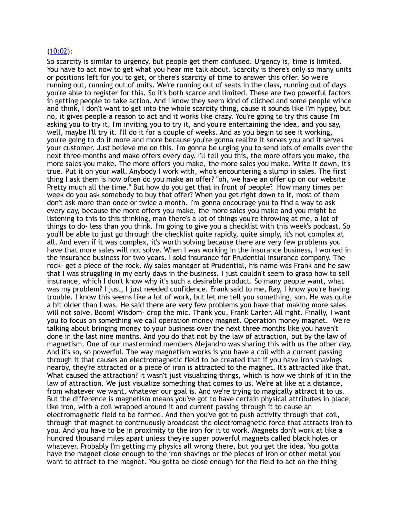#### [\(10:02](https://www.temi.com/editor/t/h8qrbV3t-5rBXa5GCxNJ3eod8-aoKJpUPkrxoib6zlEGdKKrLXPhlB2cDKkO_GOJ7WGeEzhmGBQ2L86W64eqCbTIq4c?loadFrom=DocumentDeeplink&ts=602.73)):

So scarcity is similar to urgency, but people get them confused. Urgency is, time is limited. You have to act now to get what you hear me talk about. Scarcity is there's only so many units or positions left for you to get, or there's scarcity of time to answer this offer. So we're running out, running out of units. We're running out of seats in the class, running out of days you're able to register for this. So it's both scarce and limited. These are two powerful factors in getting people to take action. And I know they seem kind of cliched and some people wince and think, I don't want to get into the whole scarcity thing, cause it sounds like I'm hypey, but no, it gives people a reason to act and it works like crazy. You're going to try this cause I'm asking you to try it, I'm inviting you to try it, and you're entertaining the idea, and you say, well, maybe I'll try it. I'll do it for a couple of weeks. And as you begin to see it working, you're going to do it more and more because you're gonna realize it serves you and it serves your customer. Just believe me on this. I'm gonna be urging you to send lots of emails over the next three months and make offers every day. I'll tell you this, the more offers you make, the more sales you make. The more offers you make, the more sales you make. Write it down, it's true. Put it on your wall. Anybody I work with, who's encountering a slump in sales. The first thing I ask them is how often do you make an offer? "oh, we have an offer up on our website Pretty much all the time." But how do you get that in front of people? How many times per week do you ask somebody to buy that offer? When you get right down to it, most of them don't ask more than once or twice a month. I'm gonna encourage you to find a way to ask every day, because the more offers you make, the more sales you make and you might be listening to this to this thinking, man there's a lot of things you're throwing at me, a lot of things to do- less than you think. I'm going to give you a checklist with this week's podcast. So you'll be able to just go through the checklist quite rapidly, quite simply, it's not complex at all. And even if it was complex, it's worth solving because there are very few problems you have that more sales will not solve. When I was working in the insurance business, I worked in the insurance business for two years. I sold insurance for Prudential insurance company. The rock- get a piece of the rock. My sales manager at Prudential, his name was Frank and he saw that I was struggling in my early days in the business. I just couldn't seem to grasp how to sell insurance, which I don't know why it's such a desirable product. So many people want, what was my problem? I just, I just needed confidence. Frank said to me, Ray, I know you're having trouble. I know this seems like a lot of work, but let me tell you something, son. He was quite a bit older than I was. He said there are very few problems you have that making more sales will not solve. Boom! Wisdom- drop the mic. Thank you, Frank Carter. All right. Finally, I want you to focus on something we call operation money magnet. Operation money magnet. We're talking about bringing money to your business over the next three months like you haven't done in the last nine months. And you do that not by the law of attraction, but by the law of magnetism. One of our mastermind members Alejandro was sharing this with us the other day. And it's so, so powerful. The way magnetism works is you have a coil with a current passing through it that causes an electromagnetic field to be created that if you have iron shavings nearby, they're attracted or a piece of iron is attracted to the magnet. It's attracted like that. What caused the attraction? It wasn't just visualizing things, which is how we think of it in the law of attraction. We just visualize something that comes to us. We're at like at a distance, from whatever we want, whatever our goal is. And we're trying to magically attract it to us. But the difference is magnetism means you've got to have certain physical attributes in place, like iron, with a coil wrapped around it and current passing through it to cause an electromagnetic field to be formed. And then you've got to push activity through that coil, through that magnet to continuously broadcast the electromagnetic force that attracts iron to you. And you have to be in proximity to the iron for it to work. Magnets don't work at like a hundred thousand miles apart unless they're super powerful magnets called black holes or whatever. Probably I'm getting my physics all wrong there, but you get the idea. You gotta have the magnet close enough to the iron shavings or the pieces of iron or other metal you want to attract to the magnet. You gotta be close enough for the field to act on the thing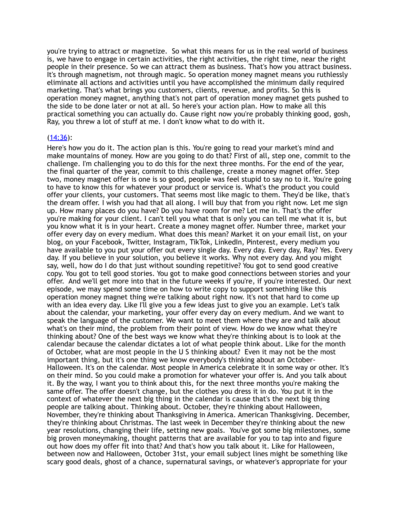you're trying to attract or magnetize. So what this means for us in the real world of business is, we have to engage in certain activities, the right activities, the right time, near the right people in their presence. So we can attract them as business. That's how you attract business. It's through magnetism, not through magic. So operation money magnet means you ruthlessly eliminate all actions and activities until you have accomplished the minimum daily required marketing. That's what brings you customers, clients, revenue, and profits. So this is operation money magnet, anything that's not part of operation money magnet gets pushed to the side to be done later or not at all. So here's your action plan. How to make all this practical something you can actually do. Cause right now you're probably thinking good, gosh, Ray, you threw a lot of stuff at me. I don't know what to do with it.

#### [\(14:36](https://www.temi.com/editor/t/h8qrbV3t-5rBXa5GCxNJ3eod8-aoKJpUPkrxoib6zlEGdKKrLXPhlB2cDKkO_GOJ7WGeEzhmGBQ2L86W64eqCbTIq4c?loadFrom=DocumentDeeplink&ts=876.4)):

Here's how you do it. The action plan is this. You're going to read your market's mind and make mountains of money. How are you going to do that? First of all, step one, commit to the challenge. I'm challenging you to do this for the next three months. For the end of the year, the final quarter of the year, commit to this challenge, create a money magnet offer. Step two, money magnet offer is one is so good, people was feel stupid to say no to it. You're going to have to know this for whatever your product or service is. What's the product you could offer your clients, your customers. That seems most like magic to them. They'd be like, that's the dream offer. I wish you had that all along. I will buy that from you right now. Let me sign up. How many places do you have? Do you have room for me? Let me in. That's the offer you're making for your client. I can't tell you what that is only you can tell me what it is, but you know what it is in your heart. Create a money magnet offer. Number three, market your offer every day on every medium. What does this mean? Market it on your email list, on your blog, on your Facebook, Twitter, Instagram, TikTok, LinkedIn, Pinterest, every medium you have available to you put your offer out every single day. Every day. Every day, Ray? Yes. Every day. If you believe in your solution, you believe it works. Why not every day. And you might say, well, how do I do that just without sounding repetitive? You got to send good creative copy. You got to tell good stories. You got to make good connections between stories and your offer. And we'll get more into that in the future weeks if you're, if you're interested. Our next episode, we may spend some time on how to write copy to support something like this operation money magnet thing we're talking about right now. It's not that hard to come up with an idea every day. Like I'll give you a few ideas just to give you an example. Let's talk about the calendar, your marketing, your offer every day on every medium. And we want to speak the language of the customer. We want to meet them where they are and talk about what's on their mind, the problem from their point of view. How do we know what they're thinking about? One of the best ways we know what they're thinking about is to look at the calendar because the calendar dictates a lot of what people think about. Like for the month of October, what are most people in the U S thinking about? Even it may not be the most important thing, but it's one thing we know everybody's thinking about an October-Halloween. It's on the calendar. Most people in America celebrate it in some way or other. It's on their mind. So you could make a promotion for whatever your offer is. And you talk about it. By the way, I want you to think about this, for the next three months you're making the same offer. The offer doesn't change, but the clothes you dress it in do. You put it in the context of whatever the next big thing in the calendar is cause that's the next big thing people are talking about. Thinking about. October, they're thinking about Halloween, November, they're thinking about Thanksgiving in America. American Thanksgiving. December, they're thinking about Christmas. The last week in December they're thinking about the new year resolutions, changing their life, setting new goals. You've got some big milestones, some big proven moneymaking, thought patterns that are available for you to tap into and figure out how does my offer fit into that? And that's how you talk about it. Like for Halloween, between now and Halloween, October 31st, your email subject lines might be something like scary good deals, ghost of a chance, supernatural savings, or whatever's appropriate for your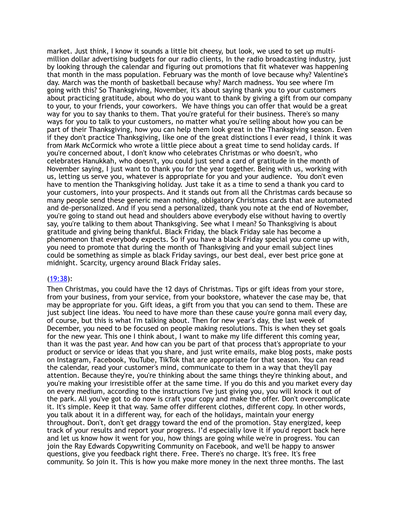market. Just think, I know it sounds a little bit cheesy, but look, we used to set up multimillion dollar advertising budgets for our radio clients, In the radio broadcasting industry, just by looking through the calendar and figuring out promotions that fit whatever was happening that month in the mass population. February was the month of love because why? Valentine's day. March was the month of basketball because why? March madness. You see where I'm going with this? So Thanksgiving, November, it's about saying thank you to your customers about practicing gratitude, about who do you want to thank by giving a gift from our company to your, to your friends, your coworkers. We have things you can offer that would be a great way for you to say thanks to them. That you're grateful for their business. There's so many ways for you to talk to your customers, no matter what you're selling about how you can be part of their Thanksgiving, how you can help them look great in the Thanksgiving season. Even if they don't practice Thanksgiving, like one of the great distinctions I ever read, I think it was from Mark McCormick who wrote a little piece about a great time to send holiday cards. If you're concerned about, I don't know who celebrates Christmas or who doesn't, who celebrates Hanukkah, who doesn't, you could just send a card of gratitude in the month of November saying, I just want to thank you for the year together. Being with us, working with us, letting us serve you, whatever is appropriate for you and your audience. You don't even have to mention the Thanksgiving holiday. Just take it as a time to send a thank you card to your customers, into your prospects. And it stands out from all the Christmas cards because so many people send these generic mean nothing, obligatory Christmas cards that are automated and de-personalized. And if you send a personalized, thank you note at the end of November, you're going to stand out head and shoulders above everybody else without having to overtly say, you're talking to them about Thanksgiving. See what I mean? So Thanksgiving is about gratitude and giving being thankful. Black Friday, the black Friday sale has become a phenomenon that everybody expects. So if you have a black Friday special you come up with, you need to promote that during the month of Thanksgiving and your email subject lines could be something as simple as black Friday savings, our best deal, ever best price gone at midnight. Scarcity, urgency around Black Friday sales.

#### [\(19:38](https://www.temi.com/editor/t/h8qrbV3t-5rBXa5GCxNJ3eod8-aoKJpUPkrxoib6zlEGdKKrLXPhlB2cDKkO_GOJ7WGeEzhmGBQ2L86W64eqCbTIq4c?loadFrom=DocumentDeeplink&ts=1178.55)):

Then Christmas, you could have the 12 days of Christmas. Tips or gift ideas from your store, from your business, from your service, from your bookstore, whatever the case may be, that may be appropriate for you. Gift ideas, a gift from you that you can send to them. These are just subject line ideas. You need to have more than these cause you're gonna mail every day, of course, but this is what I'm talking about. Then for new year's day, the last week of December, you need to be focused on people making resolutions. This is when they set goals for the new year. This one I think about, I want to make my life different this coming year, than it was the past year. And how can you be part of that process that's appropriate to your product or service or ideas that you share, and just write emails, make blog posts, make posts on Instagram, Facebook, YouTube, TikTok that are appropriate for that season. You can read the calendar, read your customer's mind, communicate to them in a way that they'll pay attention. Because they're, you're thinking about the same things they're thinking about, and you're making your irresistible offer at the same time. If you do this and you market every day on every medium, according to the instructions I've just giving you, you will knock it out of the park. All you've got to do now is craft your copy and make the offer. Don't overcomplicate it. It's simple. Keep it that way. Same offer different clothes, different copy. In other words, you talk about it in a different way, for each of the holidays, maintain your energy throughout. Don't, don't get draggy toward the end of the promotion. Stay energized, keep track of your results and report your progress. I'd especially love it if you'd report back here and let us know how it went for you, how things are going while we're in progress. You can join the Ray Edwards Copywriting Community on Facebook, and we'll be happy to answer questions, give you feedback right there. Free. There's no charge. It's free. It's free community. So join it. This is how you make more money in the next three months. The last